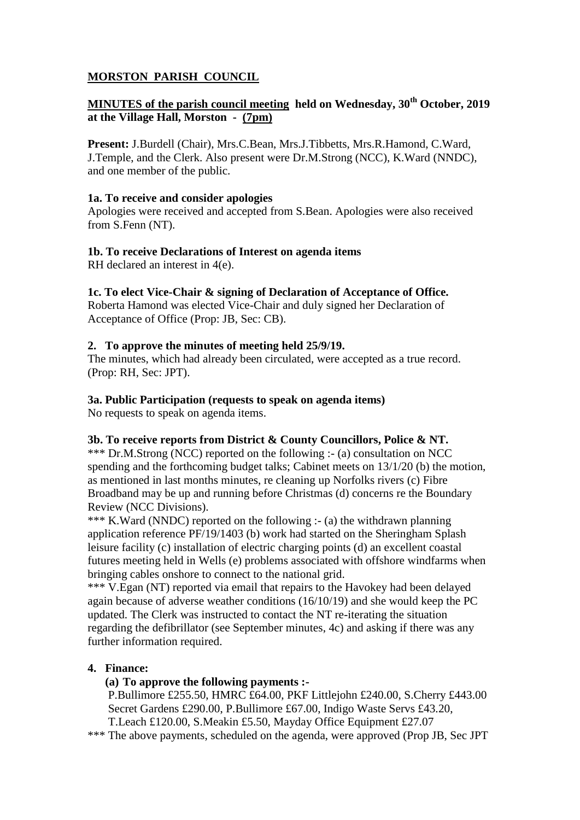# **MORSTON PARISH COUNCIL**

# **MINUTES of the parish council meeting held on Wednesday, 30th October, 2019 at the Village Hall, Morston - (7pm)**

**Present:** J.Burdell (Chair), Mrs.C.Bean, Mrs.J.Tibbetts, Mrs.R.Hamond, C.Ward, J.Temple, and the Clerk. Also present were Dr.M.Strong (NCC), K.Ward (NNDC), and one member of the public.

### **1a. To receive and consider apologies**

Apologies were received and accepted from S.Bean. Apologies were also received from S.Fenn (NT).

### **1b. To receive Declarations of Interest on agenda items**

RH declared an interest in 4(e).

### **1c. To elect Vice-Chair & signing of Declaration of Acceptance of Office.**

Roberta Hamond was elected Vice-Chair and duly signed her Declaration of Acceptance of Office (Prop: JB, Sec: CB).

### **2. To approve the minutes of meeting held 25/9/19.**

The minutes, which had already been circulated, were accepted as a true record. (Prop: RH, Sec: JPT).

### **3a. Public Participation (requests to speak on agenda items)**

No requests to speak on agenda items.

## **3b. To receive reports from District & County Councillors, Police & NT.**

\*\*\* Dr.M.Strong (NCC) reported on the following :- (a) consultation on NCC spending and the forthcoming budget talks; Cabinet meets on 13/1/20 (b) the motion, as mentioned in last months minutes, re cleaning up Norfolks rivers (c) Fibre Broadband may be up and running before Christmas (d) concerns re the Boundary Review (NCC Divisions).

\*\*\* K.Ward (NNDC) reported on the following :- (a) the withdrawn planning application reference PF/19/1403 (b) work had started on the Sheringham Splash leisure facility (c) installation of electric charging points (d) an excellent coastal futures meeting held in Wells (e) problems associated with offshore windfarms when bringing cables onshore to connect to the national grid.

\*\*\* V.Egan (NT) reported via email that repairs to the Havokey had been delayed again because of adverse weather conditions (16/10/19) and she would keep the PC updated. The Clerk was instructed to contact the NT re-iterating the situation regarding the defibrillator (see September minutes, 4c) and asking if there was any further information required.

## **4. Finance:**

## **(a) To approve the following payments :-**

P.Bullimore £255.50, HMRC £64.00, PKF Littlejohn £240.00, S.Cherry £443.00 Secret Gardens £290.00, P.Bullimore £67.00, Indigo Waste Servs £43.20, T.Leach £120.00, S.Meakin £5.50, Mayday Office Equipment £27.07

\*\*\* The above payments, scheduled on the agenda, were approved (Prop JB, Sec JPT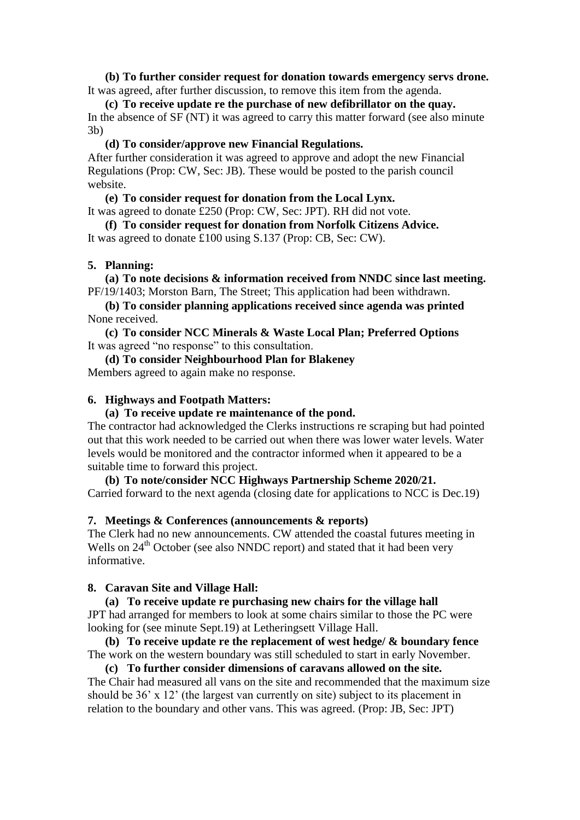**(b) To further consider request for donation towards emergency servs drone.** It was agreed, after further discussion, to remove this item from the agenda.

**(c) To receive update re the purchase of new defibrillator on the quay.** In the absence of SF (NT) it was agreed to carry this matter forward (see also minute 3b)

**(d) To consider/approve new Financial Regulations.**

After further consideration it was agreed to approve and adopt the new Financial Regulations (Prop: CW, Sec: JB). These would be posted to the parish council website.

**(e) To consider request for donation from the Local Lynx.**

It was agreed to donate £250 (Prop: CW, Sec: JPT). RH did not vote.

**(f) To consider request for donation from Norfolk Citizens Advice.**

It was agreed to donate £100 using S.137 (Prop: CB, Sec: CW).

#### **5. Planning:**

**(a) To note decisions & information received from NNDC since last meeting.** PF/19/1403; Morston Barn, The Street; This application had been withdrawn.

**(b) To consider planning applications received since agenda was printed** None received.

**(c) To consider NCC Minerals & Waste Local Plan; Preferred Options** It was agreed "no response" to this consultation.

**(d) To consider Neighbourhood Plan for Blakeney** Members agreed to again make no response.

#### **6. Highways and Footpath Matters:**

#### **(a) To receive update re maintenance of the pond.**

The contractor had acknowledged the Clerks instructions re scraping but had pointed out that this work needed to be carried out when there was lower water levels. Water levels would be monitored and the contractor informed when it appeared to be a suitable time to forward this project.

**(b) To note/consider NCC Highways Partnership Scheme 2020/21.** Carried forward to the next agenda (closing date for applications to NCC is Dec.19)

#### **7. Meetings & Conferences (announcements & reports)**

The Clerk had no new announcements. CW attended the coastal futures meeting in Wells on 24<sup>th</sup> October (see also NNDC report) and stated that it had been very informative.

#### **8. Caravan Site and Village Hall:**

**(a) To receive update re purchasing new chairs for the village hall** JPT had arranged for members to look at some chairs similar to those the PC were looking for (see minute Sept.19) at Letheringsett Village Hall.

**(b) To receive update re the replacement of west hedge/ & boundary fence** The work on the western boundary was still scheduled to start in early November.

**(c) To further consider dimensions of caravans allowed on the site.** The Chair had measured all vans on the site and recommended that the maximum size should be 36' x 12' (the largest van currently on site) subject to its placement in relation to the boundary and other vans. This was agreed. (Prop: JB, Sec: JPT)